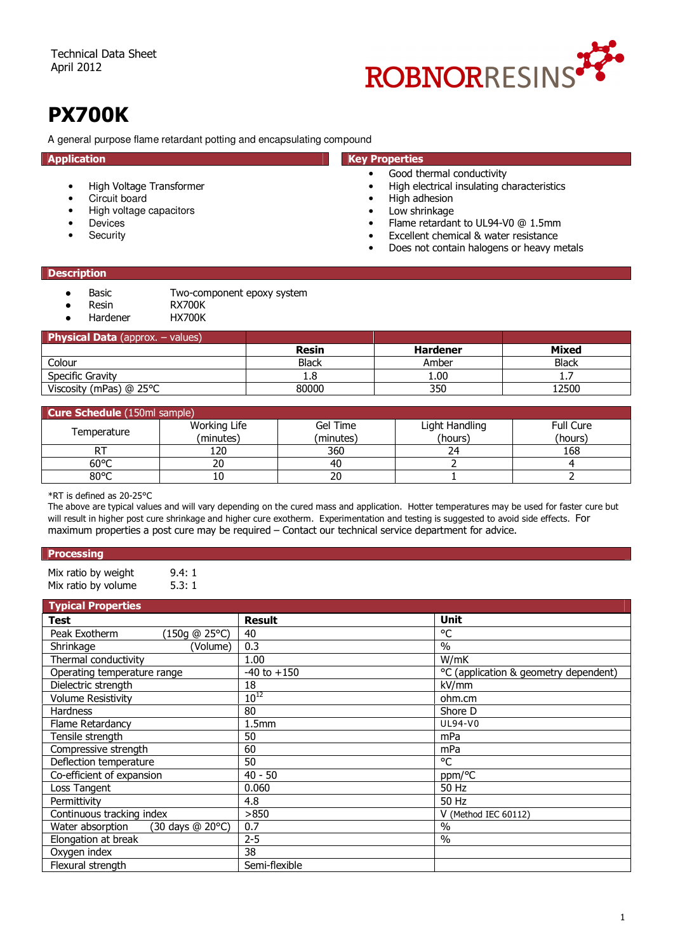

# PX700K

A general purpose flame retardant potting and encapsulating compound

- High Voltage Transformer
- Circuit board
- High voltage capacitors
- **Devices**
- **Security**

## Application **Application** Contract Contract Contract Contract Contract Contract Contract Contract Contract Contract Contract Contract Contract Contract Contract Contract Contract Contract Contract Contract Contract Contrac

- Good thermal conductivity
- High electrical insulating characteristics<br>• High adhesion
- 
- High adhesion<br>• Low shrinkage Low shrinkage
- Flame retardant to UL94-V0 @ 1.5mm
- Excellent chemical & water resistance
- Does not contain halogens or heavy metals

#### **Description**

- Basic Two-component epoxy system<br>● Resin RX700K
- Resin RX700K<br>● Hardener HX700K
- Hardener

| <b>Physical Data</b> (approx. $-$ values) |              |                 |              |
|-------------------------------------------|--------------|-----------------|--------------|
|                                           | <b>Resin</b> | <b>Hardener</b> | <b>Mixed</b> |
| Colour                                    | <b>Black</b> | Amber           | <b>Black</b> |
| Specific Gravity                          | 1.8          | 1.00            |              |
| Viscosity (mPas) @ 25°C                   | 80000        | 350             | 12500        |

| <b>Cure Schedule</b> (150ml sample) |              |           |                |                  |
|-------------------------------------|--------------|-----------|----------------|------------------|
| Temperature                         | Working Life | Gel Time  | Light Handling | <b>Full Cure</b> |
|                                     | (minutes)    | (minutes) | (hours)        | (hours)          |
|                                     | 120          | 360       | 24             | 168              |
| $60^{\circ}$ C                      | 20           | 40        |                |                  |
| 80°C                                | 10           | 20        |                |                  |

\*RT is defined as 20-25°C

The above are typical values and will vary depending on the cured mass and application. Hotter temperatures may be used for faster cure but will result in higher post cure shrinkage and higher cure exotherm. Experimentation and testing is suggested to avoid side effects. For maximum properties a post cure may be required – Contact our technical service department for advice.

#### **Processing**

Mix ratio by weight 9.4: 1<br>Mix ratio by volume 5.3: 1 Mix ratio by volume

| <b>Typical Properties</b>            |                   |                                       |
|--------------------------------------|-------------------|---------------------------------------|
| Test                                 | <b>Result</b>     | Unit                                  |
| Peak Exotherm<br>(150g @ 25°C)       | 40                | °C                                    |
| Shrinkage<br>(Volume)                | 0.3               | $\frac{0}{0}$                         |
| Thermal conductivity                 | 1.00              | W/mK                                  |
| Operating temperature range          | $-40$ to $+150$   | °C (application & geometry dependent) |
| Dielectric strength                  | 18                | kV/mm                                 |
| <b>Volume Resistivity</b>            | $10^{12}$         | ohm.cm                                |
| <b>Hardness</b>                      | 80                | Shore D                               |
| Flame Retardancy                     | 1.5 <sub>mm</sub> | UL94-V0                               |
| Tensile strength                     | 50                | mPa                                   |
| Compressive strength                 | 60                | mPa                                   |
| Deflection temperature               | 50                | °C                                    |
| Co-efficient of expansion            | $40 - 50$         | ppm/°C                                |
| Loss Tangent                         | 0.060             | 50 Hz                                 |
| Permittivity                         | 4.8               | 50 Hz                                 |
| Continuous tracking index            | >850              | V (Method IEC 60112)                  |
| Water absorption<br>(30 days @ 20°C) | 0.7               | $\frac{0}{0}$                         |
| Elongation at break                  | $2 - 5$           | $\frac{0}{0}$                         |
| Oxygen index                         | 38                |                                       |
| Flexural strength                    | Semi-flexible     |                                       |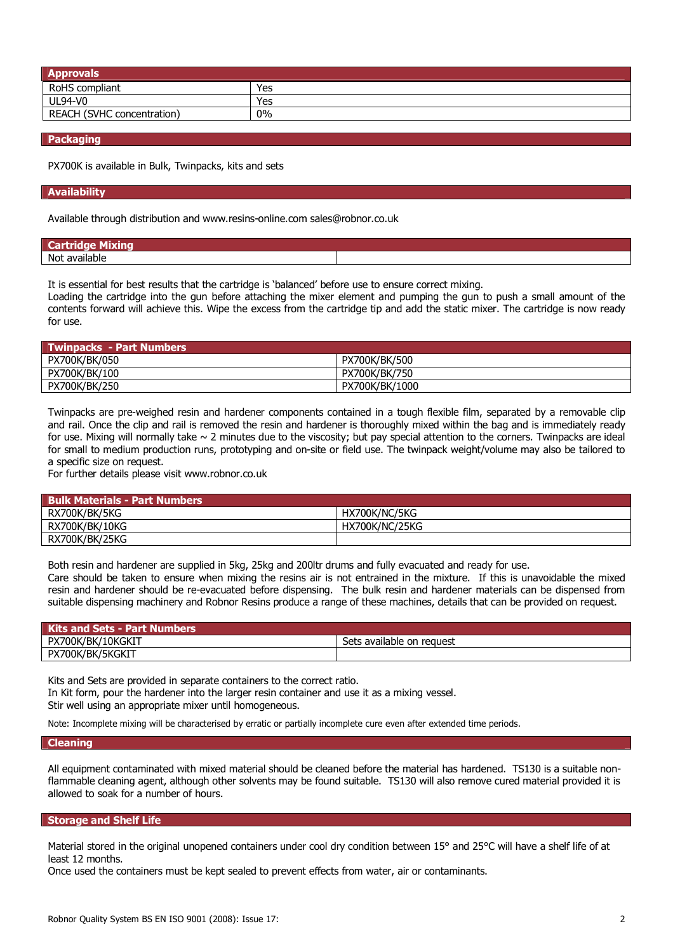| <b>Approvals</b>                  |     |
|-----------------------------------|-----|
| RoHS compliant                    | Yes |
| <b>UL94-V0</b>                    | Yes |
| <b>REACH (SVHC concentration)</b> | 0%  |

#### Packaging

PX700K is available in Bulk, Twinpacks, kits and sets

#### Availability

Available through distribution and www.resins-online.com sales@robnor.co.uk

| No |  |
|----|--|

It is essential for best results that the cartridge is 'balanced' before use to ensure correct mixing.

Loading the cartridge into the gun before attaching the mixer element and pumping the gun to push a small amount of the contents forward will achieve this. Wipe the excess from the cartridge tip and add the static mixer. The cartridge is now ready for use.

| Kata Twinpacks - Part Numbers |                |
|-------------------------------|----------------|
| PX700K/BK/050                 | PX700K/BK/500  |
| PX700K/BK/100                 | PX700K/BK/750  |
| PX700K/BK/250                 | PX700K/BK/1000 |

Twinpacks are pre-weighed resin and hardener components contained in a tough flexible film, separated by a removable clip and rail. Once the clip and rail is removed the resin and hardener is thoroughly mixed within the bag and is immediately ready for use. Mixing will normally take  $\sim$  2 minutes due to the viscosity; but pay special attention to the corners. Twinpacks are ideal for small to medium production runs, prototyping and on-site or field use. The twinpack weight/volume may also be tailored to a specific size on request.

For further details please visit www.robnor.co.uk

| <b>Bulk Materials - Part Numbers,</b> |                |
|---------------------------------------|----------------|
| RX700K/BK/5KG                         | HX700K/NC/5KG  |
| RX700K/BK/10KG                        | HX700K/NC/25KG |
| RX700K/BK/25KG                        |                |

Both resin and hardener are supplied in 5kg, 25kg and 200ltr drums and fully evacuated and ready for use.

Care should be taken to ensure when mixing the resins air is not entrained in the mixture. If this is unavoidable the mixed resin and hardener should be re-evacuated before dispensing. The bulk resin and hardener materials can be dispensed from suitable dispensing machinery and Robnor Resins produce a range of these machines, details that can be provided on request.

| <b>Kits and Sets - Part Numbers</b> |                           |
|-------------------------------------|---------------------------|
| PX700K/BK/10KGKIT                   | Sets available on request |
| PX700K/BK/5KGKIT                    |                           |

Kits and Sets are provided in separate containers to the correct ratio. In Kit form, pour the hardener into the larger resin container and use it as a mixing vessel. Stir well using an appropriate mixer until homogeneous.

Note: Incomplete mixing will be characterised by erratic or partially incomplete cure even after extended time periods.

#### Cleaning

All equipment contaminated with mixed material should be cleaned before the material has hardened. TS130 is a suitable nonflammable cleaning agent, although other solvents may be found suitable. TS130 will also remove cured material provided it is allowed to soak for a number of hours.

#### Storage and Shelf Life

Material stored in the original unopened containers under cool dry condition between 15° and 25°C will have a shelf life of at least 12 months.

Once used the containers must be kept sealed to prevent effects from water, air or contaminants.